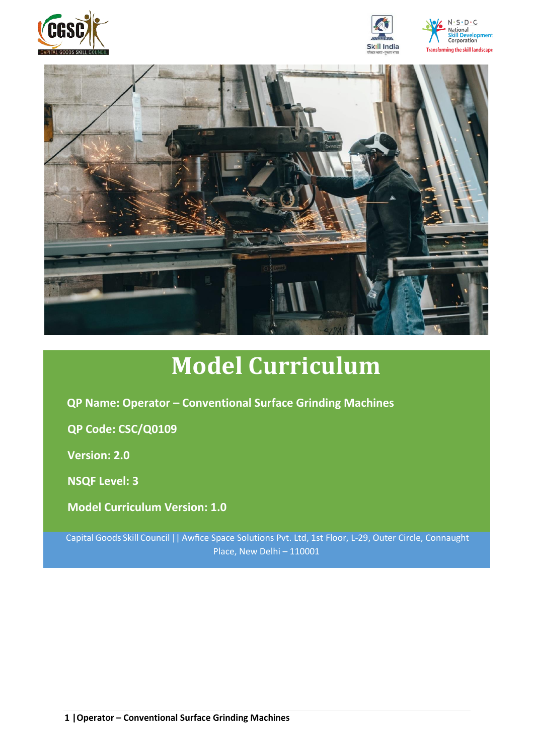





# **Model Curriculum**

**QP Name: Operator – Conventional Surface Grinding Machines**

**QP Code: CSC/Q0109**

**Version: 2.0**

**NSQF Level: 3**

**Model Curriculum Version: 1.0**

Capital Goods Skill Council || Awfice Space Solutions Pvt. Ltd, 1st Floor, L-29, Outer Circle, Connaught Place, New Delhi – 110001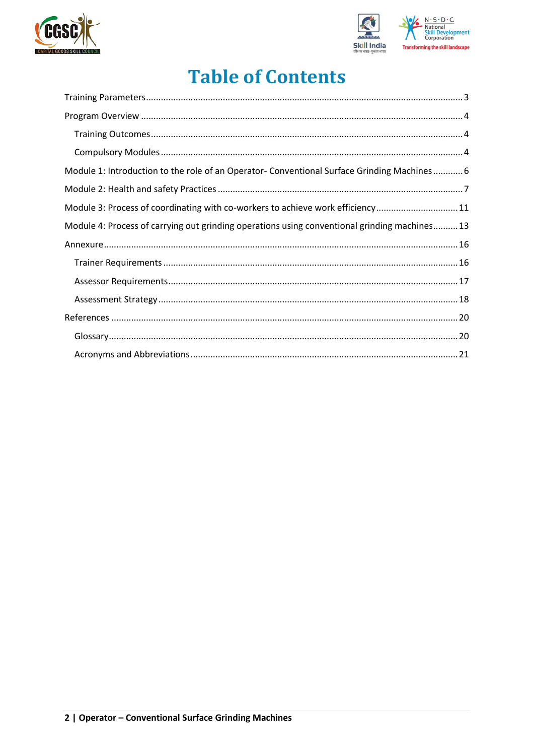



# **Table of Contents**

| Module 1: Introduction to the role of an Operator- Conventional Surface Grinding Machines 6   |
|-----------------------------------------------------------------------------------------------|
|                                                                                               |
| Module 3: Process of coordinating with co-workers to achieve work efficiency11                |
| Module 4: Process of carrying out grinding operations using conventional grinding machines 13 |
|                                                                                               |
|                                                                                               |
|                                                                                               |
|                                                                                               |
|                                                                                               |
|                                                                                               |
|                                                                                               |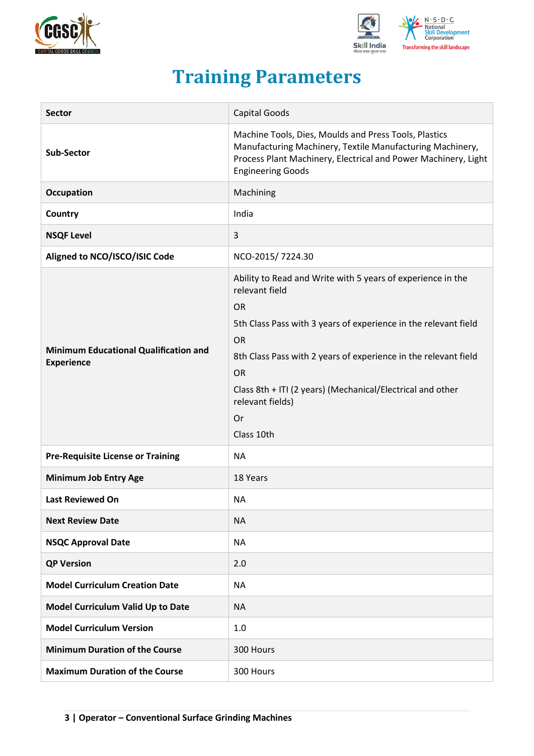



# **Training Parameters**

<span id="page-2-0"></span>

| <b>Sector</b>                                                     | <b>Capital Goods</b>                                                                                                                                                                                                                                                                                                                                             |
|-------------------------------------------------------------------|------------------------------------------------------------------------------------------------------------------------------------------------------------------------------------------------------------------------------------------------------------------------------------------------------------------------------------------------------------------|
| <b>Sub-Sector</b>                                                 | Machine Tools, Dies, Moulds and Press Tools, Plastics<br>Manufacturing Machinery, Textile Manufacturing Machinery,<br>Process Plant Machinery, Electrical and Power Machinery, Light<br><b>Engineering Goods</b>                                                                                                                                                 |
| Occupation                                                        | Machining                                                                                                                                                                                                                                                                                                                                                        |
| Country                                                           | India                                                                                                                                                                                                                                                                                                                                                            |
| <b>NSQF Level</b>                                                 | 3                                                                                                                                                                                                                                                                                                                                                                |
| Aligned to NCO/ISCO/ISIC Code                                     | NCO-2015/7224.30                                                                                                                                                                                                                                                                                                                                                 |
| <b>Minimum Educational Qualification and</b><br><b>Experience</b> | Ability to Read and Write with 5 years of experience in the<br>relevant field<br><b>OR</b><br>5th Class Pass with 3 years of experience in the relevant field<br><b>OR</b><br>8th Class Pass with 2 years of experience in the relevant field<br><b>OR</b><br>Class 8th + ITI (2 years) (Mechanical/Electrical and other<br>relevant fields)<br>Or<br>Class 10th |
| <b>Pre-Requisite License or Training</b>                          | <b>NA</b>                                                                                                                                                                                                                                                                                                                                                        |
| <b>Minimum Job Entry Age</b>                                      | 18 Years                                                                                                                                                                                                                                                                                                                                                         |
| <b>Last Reviewed On</b>                                           | <b>NA</b>                                                                                                                                                                                                                                                                                                                                                        |
| <b>Next Review Date</b>                                           | <b>NA</b>                                                                                                                                                                                                                                                                                                                                                        |
| <b>NSQC Approval Date</b>                                         | <b>NA</b>                                                                                                                                                                                                                                                                                                                                                        |
| <b>QP Version</b>                                                 | 2.0                                                                                                                                                                                                                                                                                                                                                              |
| <b>Model Curriculum Creation Date</b>                             | <b>NA</b>                                                                                                                                                                                                                                                                                                                                                        |
| Model Curriculum Valid Up to Date                                 | <b>NA</b>                                                                                                                                                                                                                                                                                                                                                        |
| <b>Model Curriculum Version</b>                                   | 1.0                                                                                                                                                                                                                                                                                                                                                              |
| <b>Minimum Duration of the Course</b>                             | 300 Hours                                                                                                                                                                                                                                                                                                                                                        |
| <b>Maximum Duration of the Course</b>                             | 300 Hours                                                                                                                                                                                                                                                                                                                                                        |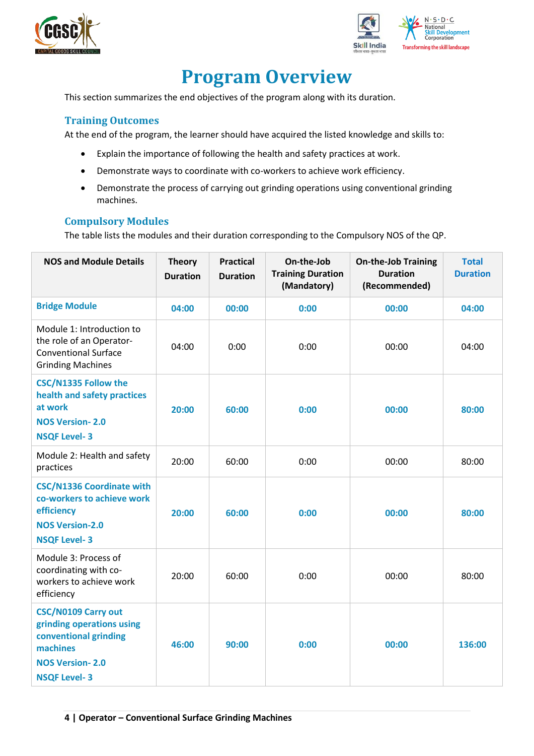



# **Program Overview**

<span id="page-3-0"></span>This section summarizes the end objectives of the program along with its duration.

#### <span id="page-3-1"></span>**Training Outcomes**

At the end of the program, the learner should have acquired the listed knowledge and skills to:

- Explain the importance of following the health and safety practices at work.
- Demonstrate ways to coordinate with co-workers to achieve work efficiency.
- Demonstrate the process of carrying out grinding operations using conventional grinding machines.

#### <span id="page-3-2"></span>**Compulsory Modules**

The table lists the modules and their duration corresponding to the Compulsory NOS of the QP.

| <b>NOS and Module Details</b>                                                                                                                 | <b>Theory</b><br><b>Duration</b> | <b>Practical</b><br><b>Duration</b> | On-the-Job<br><b>Training Duration</b><br>(Mandatory) | <b>On-the-Job Training</b><br><b>Duration</b><br>(Recommended) | <b>Total</b><br><b>Duration</b> |
|-----------------------------------------------------------------------------------------------------------------------------------------------|----------------------------------|-------------------------------------|-------------------------------------------------------|----------------------------------------------------------------|---------------------------------|
| <b>Bridge Module</b>                                                                                                                          | 04:00                            | 00:00                               | 0:00                                                  | 00:00                                                          | 04:00                           |
| Module 1: Introduction to<br>the role of an Operator-<br><b>Conventional Surface</b><br><b>Grinding Machines</b>                              | 04:00                            | 0:00                                | 0:00                                                  | 00:00                                                          | 04:00                           |
| <b>CSC/N1335 Follow the</b><br>health and safety practices<br>at work<br><b>NOS Version-2.0</b><br><b>NSQF Level-3</b>                        | 20:00                            | 60:00                               | 0:00                                                  | 00:00                                                          | 80:00                           |
| Module 2: Health and safety<br>practices                                                                                                      | 20:00                            | 60:00                               | 0:00                                                  | 00:00                                                          | 80:00                           |
| <b>CSC/N1336 Coordinate with</b><br>co-workers to achieve work<br>efficiency<br><b>NOS Version-2.0</b><br><b>NSQF Level-3</b>                 | 20:00                            | 60:00                               | 0:00                                                  | 00:00                                                          | 80:00                           |
| Module 3: Process of<br>coordinating with co-<br>workers to achieve work<br>efficiency                                                        | 20:00                            | 60:00                               | 0:00                                                  | 00:00                                                          | 80:00                           |
| <b>CSC/N0109 Carry out</b><br>grinding operations using<br>conventional grinding<br>machines<br><b>NOS Version-2.0</b><br><b>NSQF Level-3</b> | 46:00                            | 90:00                               | 0:00                                                  | 00:00                                                          | 136:00                          |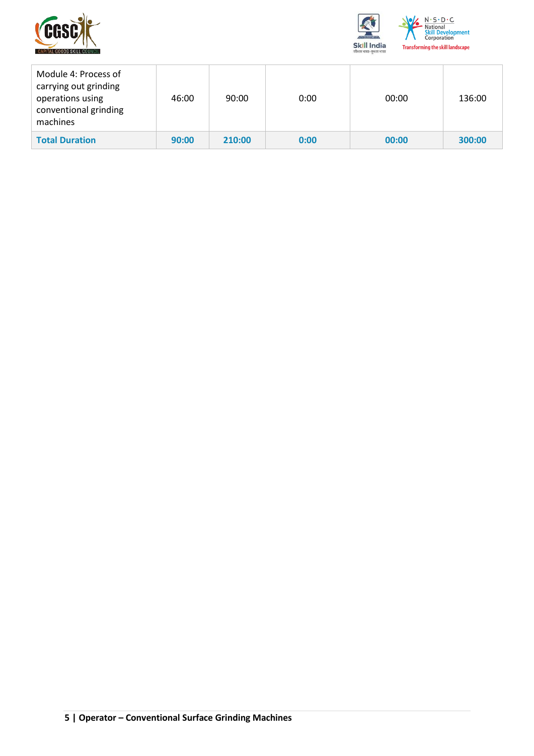



| Module 4: Process of<br>carrying out grinding<br>operations using<br>conventional grinding<br>machines | 46:00 | 90:00  | 0:00 | 00:00 | 136:00 |
|--------------------------------------------------------------------------------------------------------|-------|--------|------|-------|--------|
| <b>Total Duration</b>                                                                                  | 90:00 | 210:00 | 0:00 | 00:00 | 300:00 |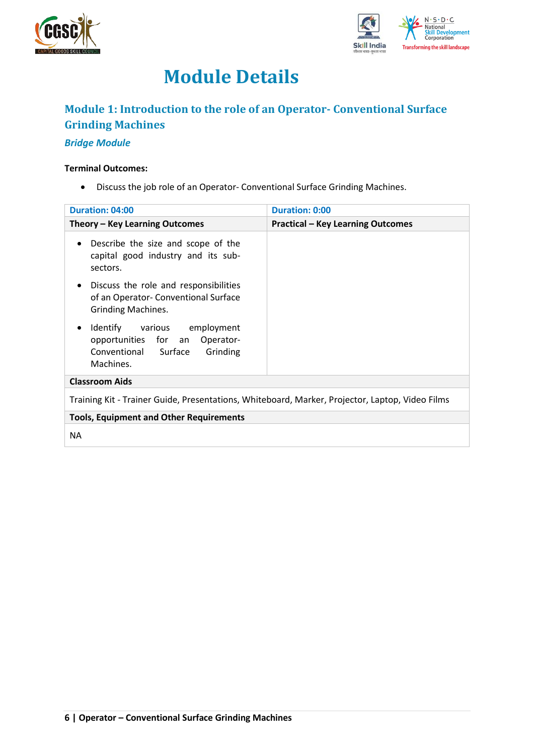



# **Module Details**

### <span id="page-5-0"></span>**Module 1: Introduction to the role of an Operator- Conventional Surface Grinding Machines**

### *Bridge Module*

#### **Terminal Outcomes:**

• Discuss the job role of an Operator- Conventional Surface Grinding Machines.

| <b>Duration: 04:00</b>                                                                                                   | <b>Duration: 0:00</b>                    |  |  |
|--------------------------------------------------------------------------------------------------------------------------|------------------------------------------|--|--|
| Theory - Key Learning Outcomes                                                                                           | <b>Practical - Key Learning Outcomes</b> |  |  |
| Describe the size and scope of the<br>$\bullet$<br>capital good industry and its sub-<br>sectors.                        |                                          |  |  |
| Discuss the role and responsibilities<br>$\bullet$<br>of an Operator- Conventional Surface<br><b>Grinding Machines.</b>  |                                          |  |  |
| Identify various employment<br>$\bullet$<br>opportunities for an Operator-<br>Conventional Surface Grinding<br>Machines. |                                          |  |  |
| <b>Classroom Aids</b>                                                                                                    |                                          |  |  |
| Training Kit - Trainer Guide, Presentations, Whiteboard, Marker, Projector, Laptop, Video Films                          |                                          |  |  |
| <b>Tools, Equipment and Other Requirements</b>                                                                           |                                          |  |  |
| <b>NA</b>                                                                                                                |                                          |  |  |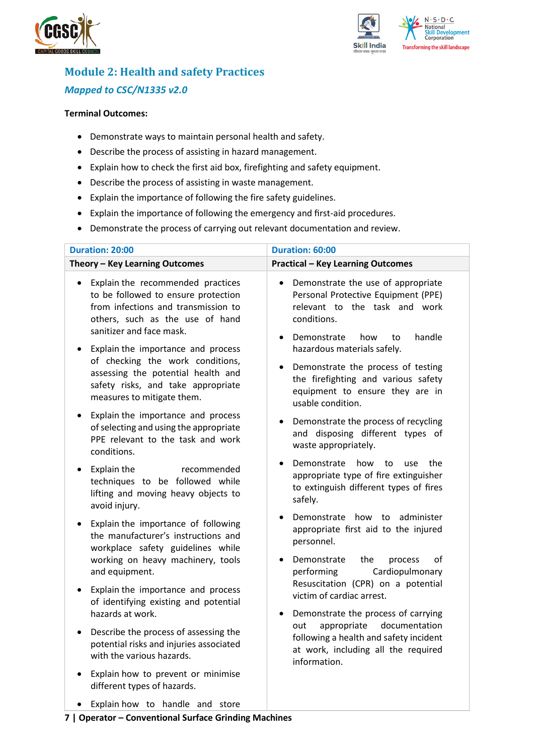



## <span id="page-6-0"></span>**Module 2: Health and safety Practices** *Mapped to CSC/N1335 v2.0*

#### **Terminal Outcomes:**

- Demonstrate ways to maintain personal health and safety.
- Describe the process of assisting in hazard management.
- Explain how to check the first aid box, firefighting and safety equipment.
- Describe the process of assisting in waste management.
- Explain the importance of following the fire safety guidelines.
- Explain the importance of following the emergency and first-aid procedures.
- Demonstrate the process of carrying out relevant documentation and review.

| <b>Duration: 20:00</b>                                                                                                                                                                                                            | Duration: 60:00                                                                                                                                                                                             |  |  |
|-----------------------------------------------------------------------------------------------------------------------------------------------------------------------------------------------------------------------------------|-------------------------------------------------------------------------------------------------------------------------------------------------------------------------------------------------------------|--|--|
| Theory - Key Learning Outcomes                                                                                                                                                                                                    | <b>Practical - Key Learning Outcomes</b>                                                                                                                                                                    |  |  |
| Explain the recommended practices<br>$\bullet$<br>to be followed to ensure protection<br>from infections and transmission to<br>others, such as the use of hand<br>sanitizer and face mask.<br>Explain the importance and process | Demonstrate the use of appropriate<br>$\bullet$<br>Personal Protective Equipment (PPE)<br>relevant to the task and work<br>conditions.<br>handle<br>Demonstrate<br>how<br>to<br>hazardous materials safely. |  |  |
| of checking the work conditions,<br>assessing the potential health and<br>safety risks, and take appropriate<br>measures to mitigate them.                                                                                        | Demonstrate the process of testing<br>the firefighting and various safety<br>equipment to ensure they are in<br>usable condition.                                                                           |  |  |
| Explain the importance and process<br>of selecting and using the appropriate<br>PPE relevant to the task and work<br>conditions.                                                                                                  | Demonstrate the process of recycling<br>and disposing different types of<br>waste appropriately.                                                                                                            |  |  |
| Explain the<br>recommended<br>techniques to be followed while<br>lifting and moving heavy objects to<br>avoid injury.                                                                                                             | Demonstrate<br>how<br>to<br>the<br>use<br>appropriate type of fire extinguisher<br>to extinguish different types of fires<br>safely.                                                                        |  |  |
| Explain the importance of following<br>the manufacturer's instructions and<br>workplace safety guidelines while<br>working on heavy machinery, tools<br>and equipment.                                                            | Demonstrate how to<br>administer<br>appropriate first aid to the injured<br>personnel.<br>of<br>Demonstrate<br>the<br>process<br>Cardiopulmonary<br>performing                                              |  |  |
| Explain the importance and process<br>of identifying existing and potential<br>hazards at work.                                                                                                                                   | Resuscitation (CPR) on a potential<br>victim of cardiac arrest.<br>Demonstrate the process of carrying                                                                                                      |  |  |
| Describe the process of assessing the<br>٠<br>potential risks and injuries associated<br>with the various hazards.                                                                                                                | appropriate<br>documentation<br>out<br>following a health and safety incident<br>at work, including all the required<br>information.                                                                        |  |  |
| Explain how to prevent or minimise<br>different types of hazards.                                                                                                                                                                 |                                                                                                                                                                                                             |  |  |

• Explain how to handle and store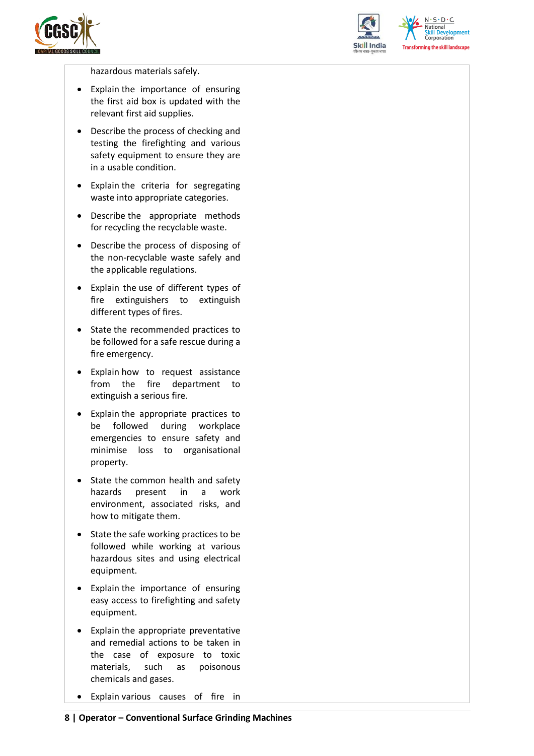



 $N.5.0.6$ **National** relopment **Corporation Transforming the skill landscape** 

hazardous materials safely.

- Explain the importance of ensuring the first aid box is updated with the relevant first aid supplies.
- Describe the process of checking and testing the firefighting and various safety equipment to ensure they are in a usable condition.
- Explain the criteria for segregating waste into appropriate categories.
- Describe the appropriate methods for recycling the recyclable waste.
- Describe the process of disposing of the non-recyclable waste safely and the applicable regulations.
- Explain the use of different types of fire extinguishers to extinguish different types of fires.
- State the recommended practices to be followed for a safe rescue during a fire emergency.
- Explain how to request assistance from the fire department to extinguish a serious fire.
- Explain the appropriate practices to be followed during workplace emergencies to ensure safety and minimise loss to organisational property.
- State the common health and safety hazards present in a work environment, associated risks, and how to mitigate them.
- State the safe working practices to be followed while working at various hazardous sites and using electrical equipment.
- Explain the importance of ensuring easy access to firefighting and safety equipment.
- Explain the appropriate preventative and remedial actions to be taken in the case of exposure to toxic materials, such as poisonous chemicals and gases.
- Explain various causes of fire in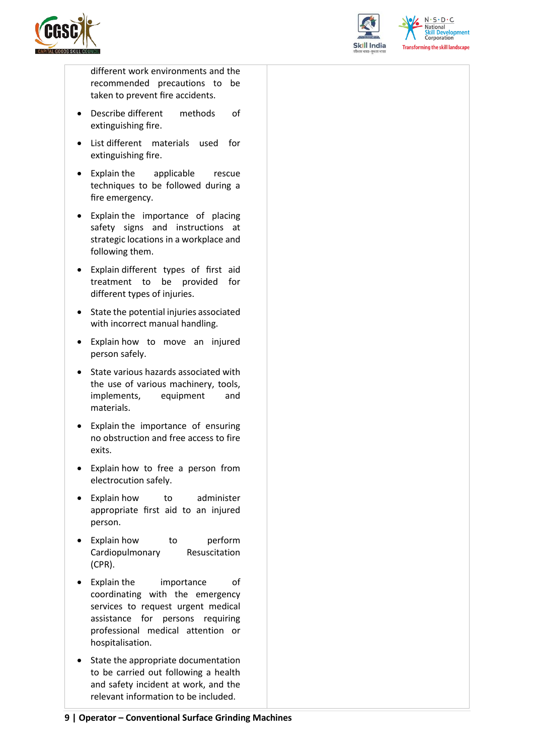



 $N.5.0.6$ **Skill Development**<br>Corporation **Transforming the skill landscape** 

different work environments and the recommended precautions to be taken to prevent fire accidents.

- Describe different methods of extinguishing fire.
- List different materials used for extinguishing fire.
- Explain the applicable rescue techniques to be followed during a fire emergency.
- Explain the importance of placing safety signs and instructions at strategic locations in a workplace and following them.
- Explain different types of first aid treatment to be provided for different types of injuries.
- State the potential injuries associated with incorrect manual handling.
- Explain how to move an injured person safely.
- State various hazards associated with the use of various machinery, tools, implements, equipment and materials.
- Explain the importance of ensuring no obstruction and free access to fire exits.
- Explain how to free a person from electrocution safely.
- Explain how to administer appropriate first aid to an injured person.
- Explain how to perform Cardiopulmonary Resuscitation (CPR).
- Explain the importance of coordinating with the emergency services to request urgent medical assistance for persons requiring professional medical attention or hospitalisation.
- State the appropriate documentation to be carried out following a health and safety incident at work, and the relevant information to be included.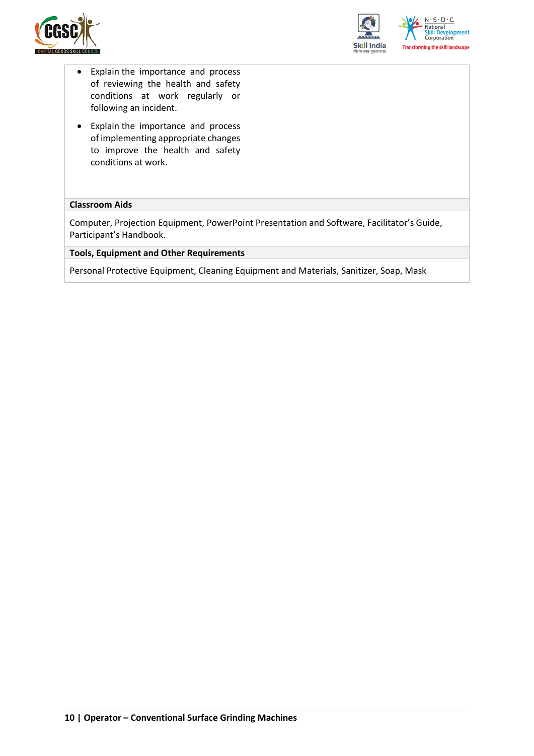



- Explain the importance and process of reviewing the health and safety conditions at work regularly or following an incident.
- Explain the importance and process of implementing appropriate changes to improve the health and safety conditions at work.

#### **Classroom Aids**

Computer, Projection Equipment, PowerPoint Presentation and Software, Facilitator's Guide, Participant's Handbook.

**Tools, Equipment and Other Requirements** 

Personal Protective Equipment, Cleaning Equipment and Materials, Sanitizer, Soap, Mask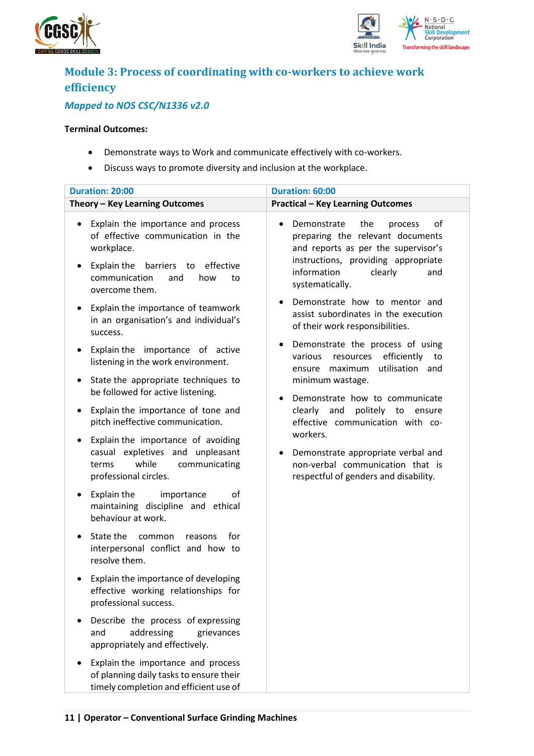



## <span id="page-10-0"></span>**Module 3: Process of coordinating with co-workers to achieve work efficiency**

### *Mapped to NOS CSC/N1336 v2.0*

#### **Terminal Outcomes:**

- Demonstrate ways to Work and communicate effectively with co-workers.
- Discuss ways to promote diversity and inclusion at the workplace.

| <b>Duration: 20:00</b>                                                                                                                                                                                         | Duration: 60:00                                                                                                                                                                                                                            |
|----------------------------------------------------------------------------------------------------------------------------------------------------------------------------------------------------------------|--------------------------------------------------------------------------------------------------------------------------------------------------------------------------------------------------------------------------------------------|
| Theory - Key Learning Outcomes                                                                                                                                                                                 | <b>Practical - Key Learning Outcomes</b>                                                                                                                                                                                                   |
| Explain the importance and process<br>$\bullet$<br>of effective communication in the<br>workplace.<br>barriers to effective<br>Explain the<br>$\bullet$<br>communication<br>how<br>and<br>to<br>overcome them. | Demonstrate<br>the<br>of<br>process<br>preparing the relevant documents<br>and reports as per the supervisor's<br>instructions, providing appropriate<br>information<br>clearly<br>and<br>systematically.<br>Demonstrate how to mentor and |
| Explain the importance of teamwork<br>$\bullet$<br>in an organisation's and individual's<br>success.                                                                                                           | assist subordinates in the execution<br>of their work responsibilities.                                                                                                                                                                    |
| Explain the importance of active<br>٠<br>listening in the work environment.                                                                                                                                    | Demonstrate the process of using<br>٠<br>efficiently<br>various<br>resources<br>to<br>utilisation and<br>maximum<br>ensure                                                                                                                 |
| State the appropriate techniques to<br>٠<br>be followed for active listening.                                                                                                                                  | minimum wastage.<br>Demonstrate how to communicate                                                                                                                                                                                         |
| Explain the importance of tone and<br>٠<br>pitch ineffective communication.                                                                                                                                    | politely<br>clearly<br>and<br>to<br>ensure<br>effective communication with co-                                                                                                                                                             |
| Explain the importance of avoiding<br>٠<br>casual expletives and unpleasant<br>while<br>communicating<br>terms<br>professional circles.                                                                        | workers.<br>Demonstrate appropriate verbal and<br>non-verbal communication that is<br>respectful of genders and disability.                                                                                                                |
| Explain the<br>οf<br>importance<br>٠<br>maintaining discipline and ethical<br>behaviour at work.                                                                                                               |                                                                                                                                                                                                                                            |
| State the<br>for<br>common<br>$\bullet$<br>reasons<br>interpersonal conflict and how to<br>resolve them.                                                                                                       |                                                                                                                                                                                                                                            |
| Explain the importance of developing<br>$\bullet$<br>effective working relationships for<br>professional success.                                                                                              |                                                                                                                                                                                                                                            |
| Describe the process of expressing<br>addressing<br>and<br>grievances<br>appropriately and effectively.                                                                                                        |                                                                                                                                                                                                                                            |
| Explain the importance and process<br>of planning daily tasks to ensure their<br>timely completion and efficient use of                                                                                        |                                                                                                                                                                                                                                            |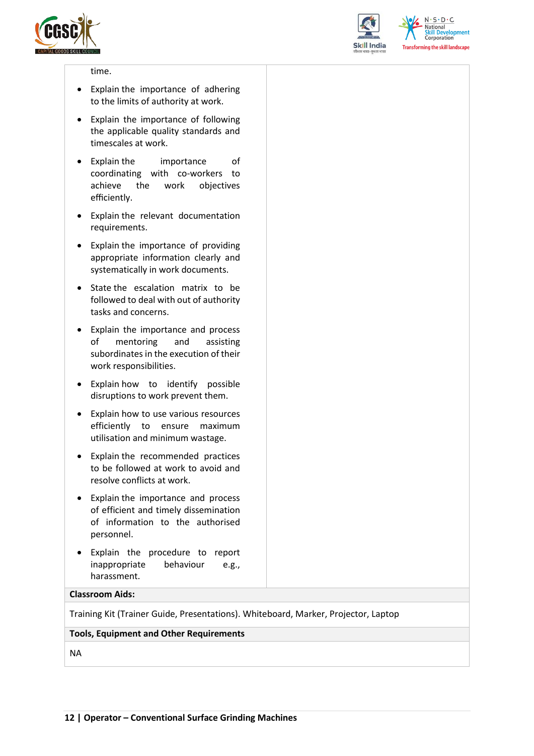



 $N.5.0.6$ **National Skill Development**<br>Corporation **Transforming the skill landscape** 

#### time.

- Explain the importance of adhering to the limits of authority at work.
- Explain the importance of following the applicable quality standards and timescales at work.
- Explain the importance of coordinating with co-workers to achieve the work objectives efficiently.
- Explain the relevant documentation requirements.
- Explain the importance of providing appropriate information clearly and systematically in work documents.
- State the escalation matrix to be followed to deal with out of authority tasks and concerns.
- Explain the importance and process of mentoring and assisting subordinates in the execution of their work responsibilities.
- Explain how to identify possible disruptions to work prevent them.
- Explain how to use various resources efficiently to ensure maximum utilisation and minimum wastage.
- Explain the recommended practices to be followed at work to avoid and resolve conflicts at work.
- Explain the importance and process of efficient and timely dissemination of information to the authorised personnel.
- Explain the procedure to report inappropriate behaviour e.g., harassment.

#### **Classroom Aids:**

Training Kit (Trainer Guide, Presentations). Whiteboard, Marker, Projector, Laptop

#### **Tools, Equipment and Other Requirements**

NA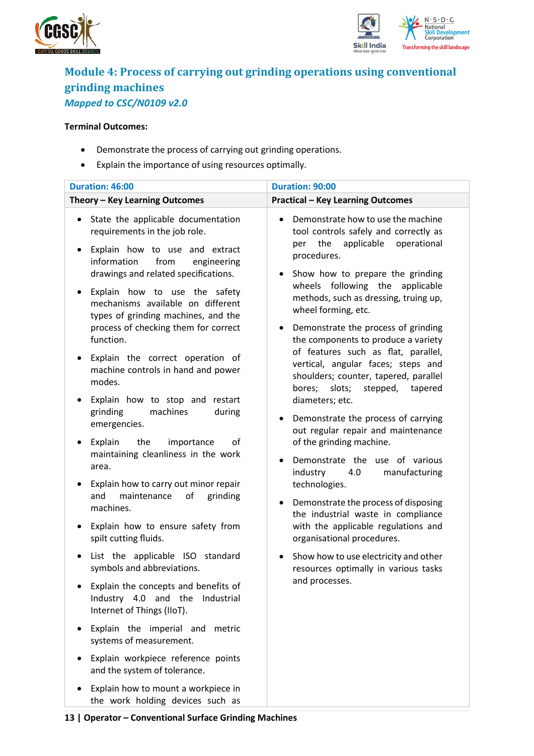



### <span id="page-12-0"></span>**Module 4: Process of [carrying out grinding operations using conventional](file:///C:/Users/Nishank/Desktop/QP/CGSC/CSC_Q0109_v2.0_Operator%20-Conventional%20Surface%20Grinding%20Machines.docx%23_bookmark5)  [grinding machines](file:///C:/Users/Nishank/Desktop/QP/CGSC/CSC_Q0109_v2.0_Operator%20-Conventional%20Surface%20Grinding%20Machines.docx%23_bookmark5)** *Mapped to CSC/N0109 v2.0*

#### **Terminal Outcomes:**

- Demonstrate the process of carrying out grinding operations.
- Explain the importance of using resources optimally.

| <b>Duration: 46:00</b>                                                                                                                                                                                                                                                                                                                  | <b>Duration: 90:00</b>                                                                                                                                                                                                                                                       |
|-----------------------------------------------------------------------------------------------------------------------------------------------------------------------------------------------------------------------------------------------------------------------------------------------------------------------------------------|------------------------------------------------------------------------------------------------------------------------------------------------------------------------------------------------------------------------------------------------------------------------------|
| Theory - Key Learning Outcomes                                                                                                                                                                                                                                                                                                          | <b>Practical - Key Learning Outcomes</b>                                                                                                                                                                                                                                     |
| State the applicable documentation<br>$\bullet$<br>requirements in the job role.<br>Explain how to use and extract<br>$\bullet$<br>information<br>from<br>engineering<br>drawings and related specifications.<br>Explain how to use the safety<br>$\bullet$<br>mechanisms available on different<br>types of grinding machines, and the | Demonstrate how to use the machine<br>tool controls safely and correctly as<br>applicable<br>the<br>operational<br>per<br>procedures.<br>Show how to prepare the grinding<br>wheels following the applicable<br>methods, such as dressing, truing up,<br>wheel forming, etc. |
| process of checking them for correct<br>function.<br>Explain the correct operation of<br>$\bullet$<br>machine controls in hand and power<br>modes.                                                                                                                                                                                      | Demonstrate the process of grinding<br>the components to produce a variety<br>of features such as flat, parallel,<br>vertical, angular faces; steps and<br>shoulders; counter, tapered, parallel<br>bores; slots;<br>stepped,<br>tapered                                     |
| Explain how to stop and restart<br>$\bullet$<br>machines<br>grinding<br>during<br>emergencies.<br>Explain<br>the<br>importance<br>οf<br>$\bullet$                                                                                                                                                                                       | diameters; etc.<br>Demonstrate the process of carrying<br>$\bullet$<br>out regular repair and maintenance<br>of the grinding machine.                                                                                                                                        |
| maintaining cleanliness in the work<br>area.<br>Explain how to carry out minor repair<br>$\bullet$<br>of<br>and<br>maintenance<br>grinding<br>machines.<br>Explain how to ensure safety from<br>$\bullet$                                                                                                                               | Demonstrate the use of various<br>٠<br>industry<br>manufacturing<br>4.0<br>technologies.<br>Demonstrate the process of disposing<br>٠<br>the industrial waste in compliance<br>with the applicable regulations and                                                           |
| spilt cutting fluids.<br>List the applicable ISO standard<br>٠<br>symbols and abbreviations.<br>Explain the concepts and benefits of<br>Industry 4.0 and the<br>Industrial                                                                                                                                                              | organisational procedures.<br>Show how to use electricity and other<br>resources optimally in various tasks<br>and processes.                                                                                                                                                |
| Internet of Things (IIoT).<br>Explain the imperial and metric<br>٠<br>systems of measurement.<br>Explain workpiece reference points<br>$\bullet$                                                                                                                                                                                        |                                                                                                                                                                                                                                                                              |
| and the system of tolerance.<br>Explain how to mount a workpiece in<br>the work holding devices such as                                                                                                                                                                                                                                 |                                                                                                                                                                                                                                                                              |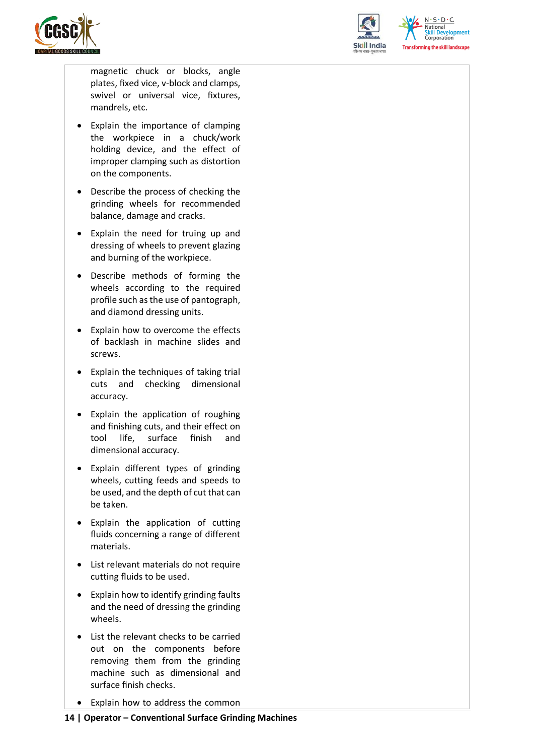



 $N.5.0.6$ elopment Corporation **Transforming the skill landscape** 

magnetic chuck or blocks, angle plates, fixed vice, v-block and clamps, swivel or universal vice, fixtures, mandrels, etc.

- Explain the importance of clamping the workpiece in a chuck/work holding device, and the effect of improper clamping such as distortion on the components.
- Describe the process of checking the grinding wheels for recommended balance, damage and cracks.
- Explain the need for truing up and dressing of wheels to prevent glazing and burning of the workpiece.
- Describe methods of forming the wheels according to the required profile such as the use of pantograph, and diamond dressing units.
- Explain how to overcome the effects of backlash in machine slides and screws.
- Explain the techniques of taking trial cuts and checking dimensional accuracy.
- Explain the application of roughing and finishing cuts, and their effect on tool life, surface finish and dimensional accuracy.
- Explain different types of grinding wheels, cutting feeds and speeds to be used, and the depth of cut that can be taken.
- Explain the application of cutting fluids concerning a range of different materials.
- List relevant materials do not require cutting fluids to be used.
- Explain how to identify grinding faults and the need of dressing the grinding wheels.
- List the relevant checks to be carried out on the components before removing them from the grinding machine such as dimensional and surface finish checks.
- Explain how to address the common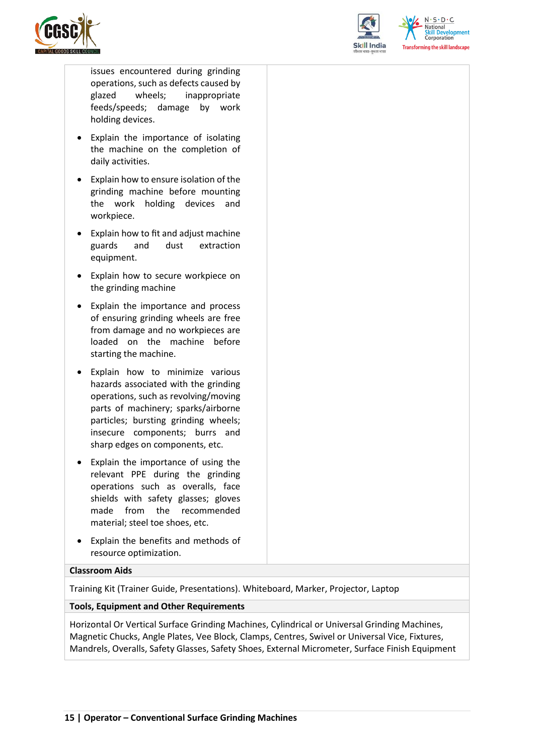



 $N.5.0.6$ elopment Corporation rming the skill landscape

issues encountered during grinding operations, such as defects caused by glazed wheels; inappropriate feeds/speeds; damage by work holding devices.

- Explain the importance of isolating the machine on the completion of daily activities.
- Explain how to ensure isolation of the grinding machine before mounting the work holding devices and workpiece.
- Explain how to fit and adjust machine guards and dust extraction equipment.
- Explain how to secure workpiece on the grinding machine
- Explain the importance and process of ensuring grinding wheels are free from damage and no workpieces are loaded on the machine before starting the machine.
- Explain how to minimize various hazards associated with the grinding operations, such as revolving/moving parts of machinery; sparks/airborne particles; bursting grinding wheels; insecure components; burrs and sharp edges on components, etc.
- Explain the importance of using the relevant PPE during the grinding operations such as overalls, face shields with safety glasses; gloves made from the recommended material; steel toe shoes, etc.
- Explain the benefits and methods of resource optimization.

#### **Classroom Aids**

Training Kit (Trainer Guide, Presentations). Whiteboard, Marker, Projector, Laptop

#### **Tools, Equipment and Other Requirements**

Horizontal Or Vertical Surface Grinding Machines, Cylindrical or Universal Grinding Machines, Magnetic Chucks, Angle Plates, Vee Block, Clamps, Centres, Swivel or Universal Vice, Fixtures, Mandrels, Overalls, Safety Glasses, Safety Shoes, External Micrometer, Surface Finish Equipment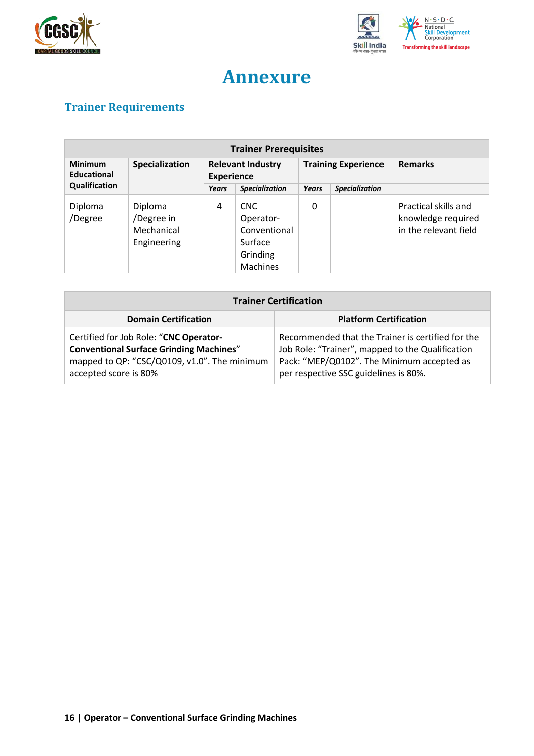



# **Annexure**

## <span id="page-15-1"></span><span id="page-15-0"></span>**Trainer Requirements**

| <b>Trainer Prerequisites</b> |                                                    |                                               |                                                                             |              |                            |                                                                     |
|------------------------------|----------------------------------------------------|-----------------------------------------------|-----------------------------------------------------------------------------|--------------|----------------------------|---------------------------------------------------------------------|
| Minimum<br>Educational       | Specialization                                     | <b>Relevant Industry</b><br><b>Experience</b> |                                                                             |              | <b>Training Experience</b> | <b>Remarks</b>                                                      |
| Qualification                |                                                    | <b>Years</b>                                  | <b>Specialization</b>                                                       | <b>Years</b> | <b>Specialization</b>      |                                                                     |
| Diploma<br>/Degree           | Diploma<br>/Degree in<br>Mechanical<br>Engineering | 4                                             | CNC.<br>Operator-<br>Conventional<br>Surface<br>Grinding<br><b>Machines</b> | 0            |                            | Practical skills and<br>knowledge required<br>in the relevant field |

| <b>Trainer Certification</b>                                                                                                                                      |                                                                                                                                                                                              |  |  |  |
|-------------------------------------------------------------------------------------------------------------------------------------------------------------------|----------------------------------------------------------------------------------------------------------------------------------------------------------------------------------------------|--|--|--|
| <b>Domain Certification</b>                                                                                                                                       | <b>Platform Certification</b>                                                                                                                                                                |  |  |  |
| Certified for Job Role: "CNC Operator-<br><b>Conventional Surface Grinding Machines"</b><br>mapped to QP: "CSC/Q0109, v1.0". The minimum<br>accepted score is 80% | Recommended that the Trainer is certified for the<br>Job Role: "Trainer", mapped to the Qualification<br>Pack: "MEP/Q0102". The Minimum accepted as<br>per respective SSC guidelines is 80%. |  |  |  |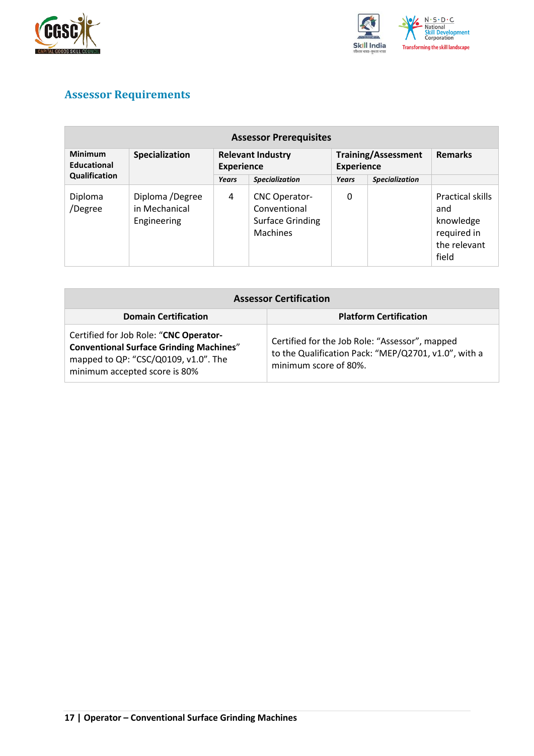



## <span id="page-16-0"></span>**Assessor Requirements**

| <b>Assessor Prerequisites</b> |                                                 |                                               |                                                                                    |                                                 |                       |                                                                              |
|-------------------------------|-------------------------------------------------|-----------------------------------------------|------------------------------------------------------------------------------------|-------------------------------------------------|-----------------------|------------------------------------------------------------------------------|
| <b>Minimum</b><br>Educational | Specialization                                  | <b>Relevant Industry</b><br><b>Experience</b> |                                                                                    | <b>Training/Assessment</b><br><b>Experience</b> |                       | <b>Remarks</b>                                                               |
| Qualification                 |                                                 | <b>Years</b>                                  | <b>Specialization</b>                                                              | <b>Years</b>                                    | <b>Specialization</b> |                                                                              |
| Diploma<br>/Degree            | Diploma /Degree<br>in Mechanical<br>Engineering | 4                                             | <b>CNC Operator-</b><br>Conventional<br><b>Surface Grinding</b><br><b>Machines</b> | 0                                               |                       | Practical skills<br>and<br>knowledge<br>required in<br>the relevant<br>field |

| <b>Assessor Certification</b>                                                                                                                                     |                                                                                                                                 |  |  |  |
|-------------------------------------------------------------------------------------------------------------------------------------------------------------------|---------------------------------------------------------------------------------------------------------------------------------|--|--|--|
| <b>Domain Certification</b>                                                                                                                                       | <b>Platform Certification</b>                                                                                                   |  |  |  |
| Certified for Job Role: "CNC Operator-<br><b>Conventional Surface Grinding Machines"</b><br>mapped to QP: "CSC/Q0109, v1.0". The<br>minimum accepted score is 80% | Certified for the Job Role: "Assessor", mapped<br>to the Qualification Pack: "MEP/Q2701, v1.0", with a<br>minimum score of 80%. |  |  |  |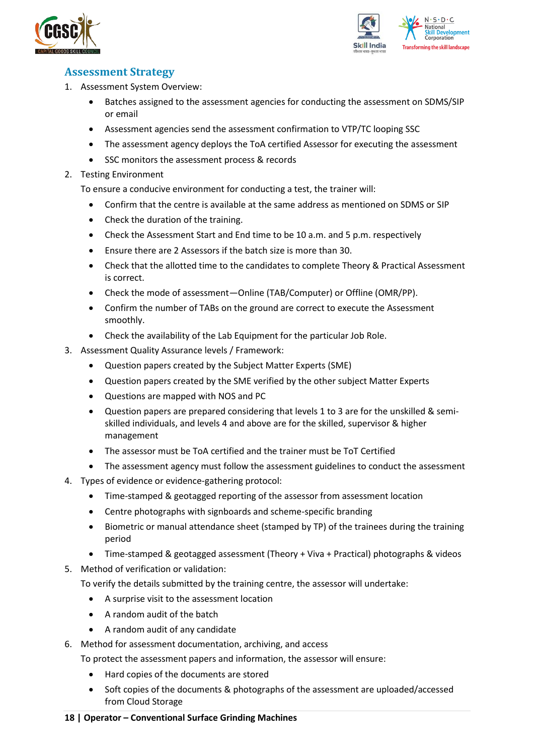



### <span id="page-17-0"></span>**Assessment Strategy**

- 1. Assessment System Overview:
	- Batches assigned to the assessment agencies for conducting the assessment on SDMS/SIP or email
	- Assessment agencies send the assessment confirmation to VTP/TC looping SSC
	- The assessment agency deploys the ToA certified Assessor for executing the assessment
	- SSC monitors the assessment process & records
- 2. Testing Environment

To ensure a conducive environment for conducting a test, the trainer will:

- Confirm that the centre is available at the same address as mentioned on SDMS or SIP
- Check the duration of the training.
- Check the Assessment Start and End time to be 10 a.m. and 5 p.m. respectively
- Ensure there are 2 Assessors if the batch size is more than 30.
- Check that the allotted time to the candidates to complete Theory & Practical Assessment is correct.
- Check the mode of assessment—Online (TAB/Computer) or Offline (OMR/PP).
- Confirm the number of TABs on the ground are correct to execute the Assessment smoothly.
- Check the availability of the Lab Equipment for the particular Job Role.
- 3. Assessment Quality Assurance levels / Framework:
	- Question papers created by the Subject Matter Experts (SME)
	- Question papers created by the SME verified by the other subject Matter Experts
	- Questions are mapped with NOS and PC
	- Question papers are prepared considering that levels 1 to 3 are for the unskilled & semiskilled individuals, and levels 4 and above are for the skilled, supervisor & higher management
	- The assessor must be ToA certified and the trainer must be ToT Certified
	- The assessment agency must follow the assessment guidelines to conduct the assessment
- 4. Types of evidence or evidence-gathering protocol:
	- Time-stamped & geotagged reporting of the assessor from assessment location
	- Centre photographs with signboards and scheme-specific branding
	- Biometric or manual attendance sheet (stamped by TP) of the trainees during the training period
	- Time-stamped & geotagged assessment (Theory + Viva + Practical) photographs & videos
- 5. Method of verification or validation:

To verify the details submitted by the training centre, the assessor will undertake:

- A surprise visit to the assessment location
- A random audit of the batch
- A random audit of any candidate
- 6. Method for assessment documentation, archiving, and access
	- To protect the assessment papers and information, the assessor will ensure:
		- Hard copies of the documents are stored
		- Soft copies of the documents & photographs of the assessment are uploaded/accessed from Cloud Storage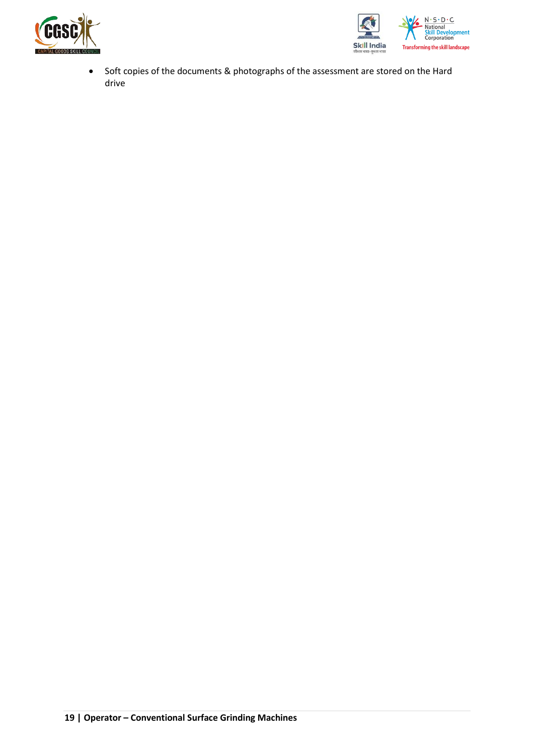



• Soft copies of the documents & photographs of the assessment are stored on the Hard drive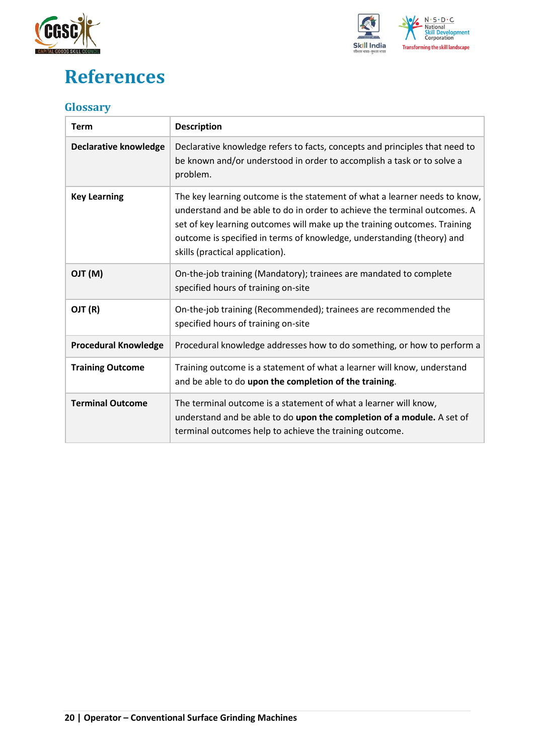



# <span id="page-19-0"></span>**References**

### <span id="page-19-1"></span>**Glossary**

| <b>Term</b>                  | <b>Description</b>                                                                                                                                                                                                                                                                                                                                |
|------------------------------|---------------------------------------------------------------------------------------------------------------------------------------------------------------------------------------------------------------------------------------------------------------------------------------------------------------------------------------------------|
| <b>Declarative knowledge</b> | Declarative knowledge refers to facts, concepts and principles that need to<br>be known and/or understood in order to accomplish a task or to solve a<br>problem.                                                                                                                                                                                 |
| <b>Key Learning</b>          | The key learning outcome is the statement of what a learner needs to know,<br>understand and be able to do in order to achieve the terminal outcomes. A<br>set of key learning outcomes will make up the training outcomes. Training<br>outcome is specified in terms of knowledge, understanding (theory) and<br>skills (practical application). |
| (M) TLO                      | On-the-job training (Mandatory); trainees are mandated to complete<br>specified hours of training on-site                                                                                                                                                                                                                                         |
| OJT (R)                      | On-the-job training (Recommended); trainees are recommended the<br>specified hours of training on-site                                                                                                                                                                                                                                            |
| <b>Procedural Knowledge</b>  | Procedural knowledge addresses how to do something, or how to perform a                                                                                                                                                                                                                                                                           |
| <b>Training Outcome</b>      | Training outcome is a statement of what a learner will know, understand<br>and be able to do upon the completion of the training.                                                                                                                                                                                                                 |
| <b>Terminal Outcome</b>      | The terminal outcome is a statement of what a learner will know,<br>understand and be able to do upon the completion of a module. A set of<br>terminal outcomes help to achieve the training outcome.                                                                                                                                             |